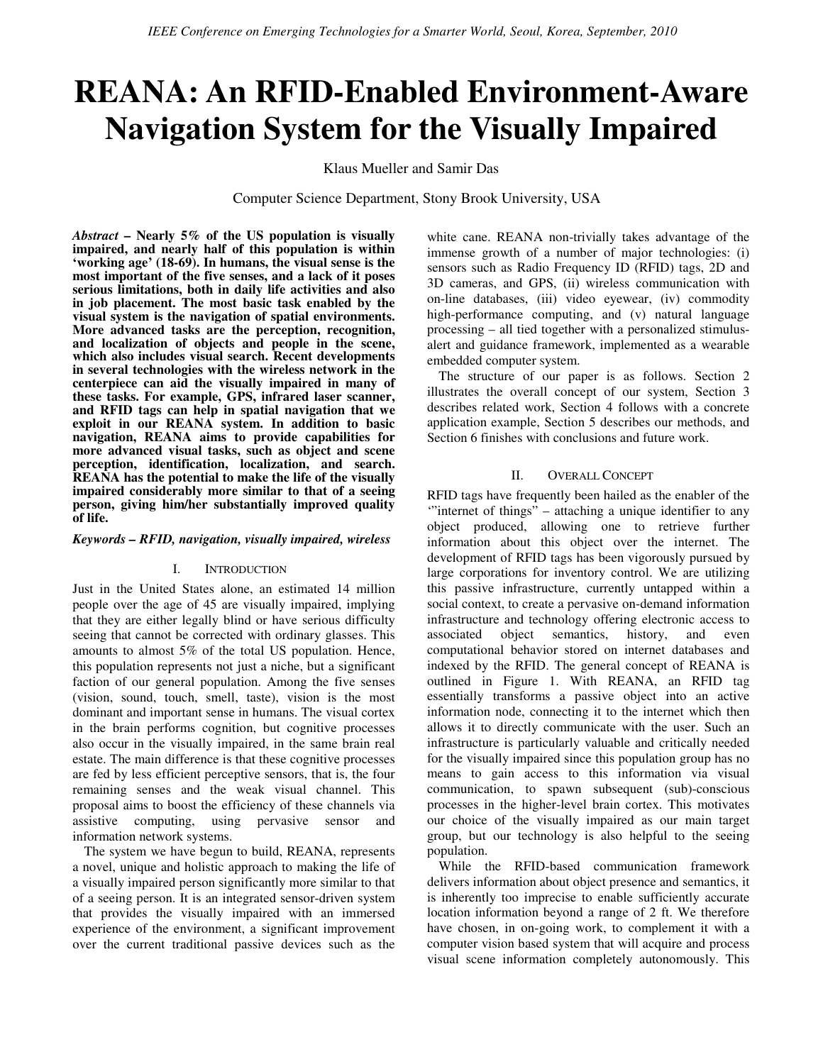# REANA: An RFID-Enabled Environment-Aware Navigation System for the Visually Impaired

Klaus Mueller and Samir Das

Computer Science Department, Stony Brook University, USA

Abstract – Nearly  $5\%$  of the US population is visually impaired, and nearly half of this population is within 'working age' (18-69). In humans, the visual sense is the most important of the five senses, and a lack of it poses serious limitations, both in daily life activities and also in job placement. The most basic task enabled by the visual system is the navigation of spatial environments. More advanced tasks are the perception, recognition, and localization of objects and people in the scene, which also includes visual search. Recent developments in several technologies with the wireless network in the centerpiece can aid the visually impaired in many of these tasks. For example, GPS, infrared laser scanner, and RFID tags can help in spatial navigation that we exploit in our REANA system. In addition to basic navigation, REANA aims to provide capabilities for more advanced visual tasks, such as object and scene perception, identification, localization, and search. REANA has the potential to make the life of the visually impaired considerably more similar to that of a seeing person, giving him/her substantially improved quality of life.

### Keywords – RFID, navigation, visually impaired, wireless

### I. INTRODUCTION

Just in the United States alone, an estimated 14 million people over the age of 45 are visually impaired, implying that they are either legally blind or have serious difficulty seeing that cannot be corrected with ordinary glasses. This amounts to almost 5% of the total US population. Hence, this population represents not just a niche, but a significant faction of our general population. Among the five senses (vision, sound, touch, smell, taste), vision is the most dominant and important sense in humans. The visual cortex in the brain performs cognition, but cognitive processes also occur in the visually impaired, in the same brain real estate. The main difference is that these cognitive processes are fed by less efficient perceptive sensors, that is, the four remaining senses and the weak visual channel. This proposal aims to boost the efficiency of these channels via assistive computing, using pervasive sensor and information network systems.

The system we have begun to build, REANA, represents a novel, unique and holistic approach to making the life of a visually impaired person significantly more similar to that of a seeing person. It is an integrated sensor-driven system that provides the visually impaired with an immersed experience of the environment, a significant improvement over the current traditional passive devices such as the

white cane. REANA non-trivially takes advantage of the immense growth of a number of major technologies: (i) sensors such as Radio Frequency ID (RFID) tags, 2D and 3D cameras, and GPS, (ii) wireless communication with on-line databases, (iii) video eyewear, (iv) commodity high-performance computing, and (v) natural language processing – all tied together with a personalized stimulusalert and guidance framework, implemented as a wearable embedded computer system.

The structure of our paper is as follows. Section 2 illustrates the overall concept of our system, Section 3 describes related work, Section 4 follows with a concrete application example, Section 5 describes our methods, and Section 6 finishes with conclusions and future work.

## II. OVERALL CONCEPT

RFID tags have frequently been hailed as the enabler of the "internet of things" – attaching a unique identifier to any object produced, allowing one to retrieve further information about this object over the internet. The development of RFID tags has been vigorously pursued by large corporations for inventory control. We are utilizing this passive infrastructure, currently untapped within a social context, to create a pervasive on-demand information infrastructure and technology offering electronic access to associated object semantics, history, and even computational behavior stored on internet databases and indexed by the RFID. The general concept of REANA is outlined in Figure 1. With REANA, an RFID tag essentially transforms a passive object into an active information node, connecting it to the internet which then allows it to directly communicate with the user. Such an infrastructure is particularly valuable and critically needed for the visually impaired since this population group has no means to gain access to this information via visual communication, to spawn subsequent (sub)-conscious processes in the higher-level brain cortex. This motivates our choice of the visually impaired as our main target group, but our technology is also helpful to the seeing population.

While the RFID-based communication framework delivers information about object presence and semantics, it is inherently too imprecise to enable sufficiently accurate location information beyond a range of 2 ft. We therefore have chosen, in on-going work, to complement it with a computer vision based system that will acquire and process visual scene information completely autonomously. This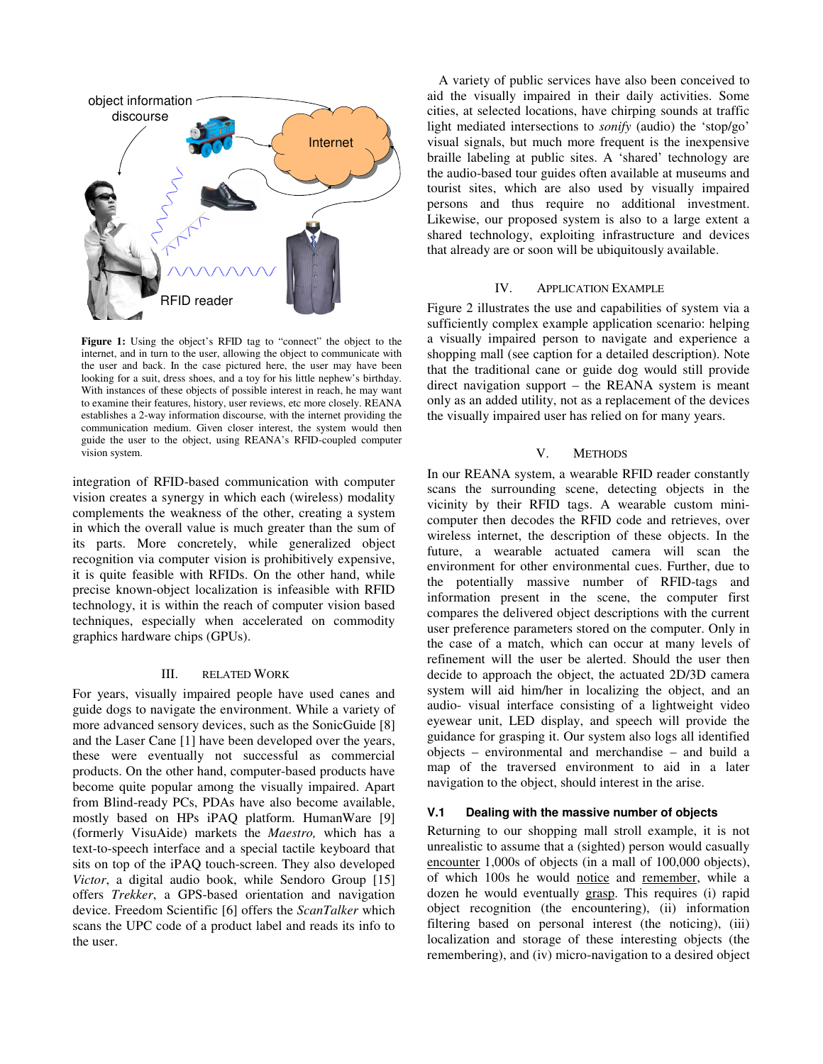

Figure 1: Using the object's RFID tag to "connect" the object to the internet, and in turn to the user, allowing the object to communicate with the user and back. In the case pictured here, the user may have been looking for a suit, dress shoes, and a toy for his little nephew's birthday. With instances of these objects of possible interest in reach, he may want to examine their features, history, user reviews, etc more closely. REANA establishes a 2-way information discourse, with the internet providing the communication medium. Given closer interest, the system would then guide the user to the object, using REANA's RFID-coupled computer vision system.

integration of RFID-based communication with computer vision creates a synergy in which each (wireless) modality complements the weakness of the other, creating a system in which the overall value is much greater than the sum of its parts. More concretely, while generalized object recognition via computer vision is prohibitively expensive, it is quite feasible with RFIDs. On the other hand, while precise known-object localization is infeasible with RFID technology, it is within the reach of computer vision based techniques, especially when accelerated on commodity graphics hardware chips (GPUs).

#### III. RELATED WORK

For years, visually impaired people have used canes and guide dogs to navigate the environment. While a variety of more advanced sensory devices, such as the SonicGuide [8] and the Laser Cane [1] have been developed over the years, these were eventually not successful as commercial products. On the other hand, computer-based products have become quite popular among the visually impaired. Apart from Blind-ready PCs, PDAs have also become available, mostly based on HPs iPAQ platform. HumanWare [9] (formerly VisuAide) markets the Maestro, which has a text-to-speech interface and a special tactile keyboard that sits on top of the iPAQ touch-screen. They also developed Victor, a digital audio book, while Sendoro Group [15] offers Trekker, a GPS-based orientation and navigation device. Freedom Scientific [6] offers the ScanTalker which scans the UPC code of a product label and reads its info to the user.

A variety of public services have also been conceived to aid the visually impaired in their daily activities. Some cities, at selected locations, have chirping sounds at traffic light mediated intersections to sonify (audio) the 'stop/go' visual signals, but much more frequent is the inexpensive braille labeling at public sites. A 'shared' technology are the audio-based tour guides often available at museums and tourist sites, which are also used by visually impaired persons and thus require no additional investment. Likewise, our proposed system is also to a large extent a shared technology, exploiting infrastructure and devices that already are or soon will be ubiquitously available.

## IV. APPLICATION EXAMPLE

Figure 2 illustrates the use and capabilities of system via a sufficiently complex example application scenario: helping a visually impaired person to navigate and experience a shopping mall (see caption for a detailed description). Note that the traditional cane or guide dog would still provide direct navigation support – the REANA system is meant only as an added utility, not as a replacement of the devices the visually impaired user has relied on for many years.

### V. METHODS

In our REANA system, a wearable RFID reader constantly scans the surrounding scene, detecting objects in the vicinity by their RFID tags. A wearable custom minicomputer then decodes the RFID code and retrieves, over wireless internet, the description of these objects. In the future, a wearable actuated camera will scan the environment for other environmental cues. Further, due to the potentially massive number of RFID-tags and information present in the scene, the computer first compares the delivered object descriptions with the current user preference parameters stored on the computer. Only in the case of a match, which can occur at many levels of refinement will the user be alerted. Should the user then decide to approach the object, the actuated 2D/3D camera system will aid him/her in localizing the object, and an audio- visual interface consisting of a lightweight video eyewear unit, LED display, and speech will provide the guidance for grasping it. Our system also logs all identified objects – environmental and merchandise – and build a map of the traversed environment to aid in a later navigation to the object, should interest in the arise.

## V.1 Dealing with the massive number of objects

Returning to our shopping mall stroll example, it is not unrealistic to assume that a (sighted) person would casually encounter 1,000s of objects (in a mall of 100,000 objects), of which 100s he would notice and remember, while a dozen he would eventually grasp. This requires (i) rapid object recognition (the encountering), (ii) information filtering based on personal interest (the noticing), (iii) localization and storage of these interesting objects (the remembering), and (iv) micro-navigation to a desired object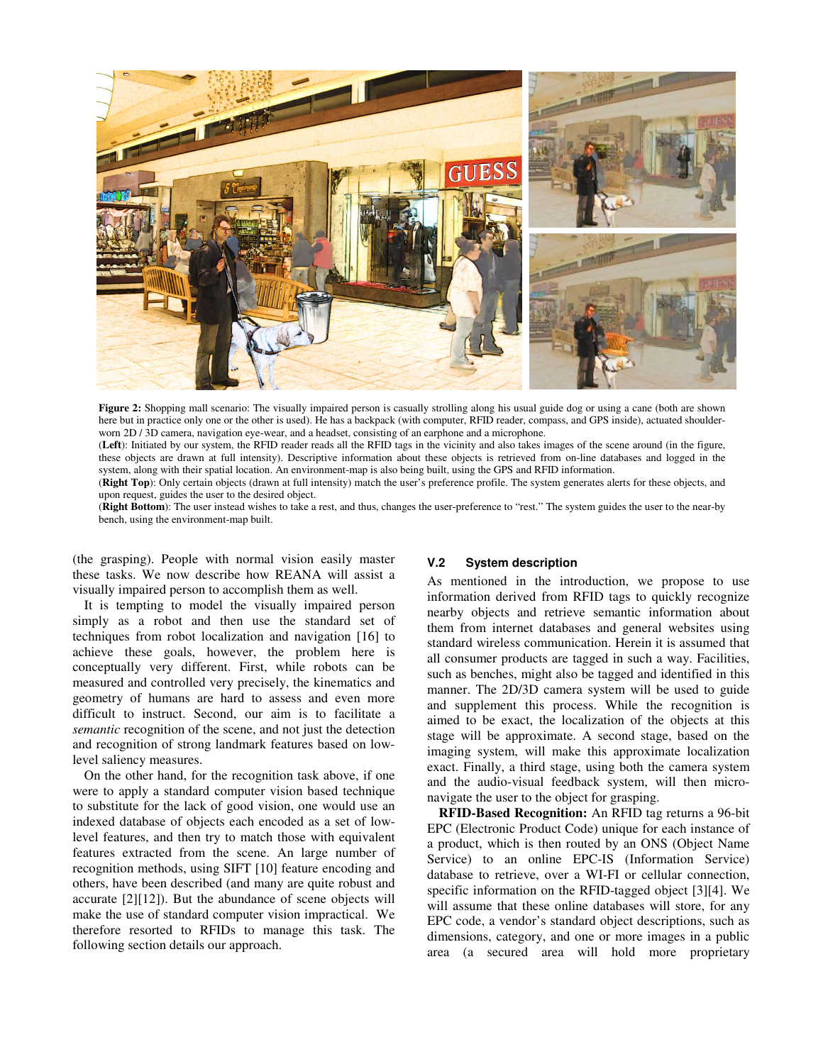

Figure 2: Shopping mall scenario: The visually impaired person is casually strolling along his usual guide dog or using a cane (both are shown here but in practice only one or the other is used). He has a backpack (with computer, RFID reader, compass, and GPS inside), actuated shoulderworn 2D / 3D camera, navigation eye-wear, and a headset, consisting of an earphone and a microphone.

(Left): Initiated by our system, the RFID reader reads all the RFID tags in the vicinity and also takes images of the scene around (in the figure, these objects are drawn at full intensity). Descriptive information about these objects is retrieved from on-line databases and logged in the system, along with their spatial location. An environment-map is also being built, using the GPS and RFID information.

(Right Top): Only certain objects (drawn at full intensity) match the user's preference profile. The system generates alerts for these objects, and upon request, guides the user to the desired object.

(Right Bottom): The user instead wishes to take a rest, and thus, changes the user-preference to "rest." The system guides the user to the near-by bench, using the environment-map built.

(the grasping). People with normal vision easily master these tasks. We now describe how REANA will assist a visually impaired person to accomplish them as well.

It is tempting to model the visually impaired person simply as a robot and then use the standard set of techniques from robot localization and navigation [16] to achieve these goals, however, the problem here is conceptually very different. First, while robots can be measured and controlled very precisely, the kinematics and geometry of humans are hard to assess and even more difficult to instruct. Second, our aim is to facilitate a semantic recognition of the scene, and not just the detection and recognition of strong landmark features based on lowlevel saliency measures.

On the other hand, for the recognition task above, if one were to apply a standard computer vision based technique to substitute for the lack of good vision, one would use an indexed database of objects each encoded as a set of lowlevel features, and then try to match those with equivalent features extracted from the scene. An large number of recognition methods, using SIFT [10] feature encoding and others, have been described (and many are quite robust and accurate [2][12]). But the abundance of scene objects will make the use of standard computer vision impractical. We therefore resorted to RFIDs to manage this task. The following section details our approach.

### V.2 System description

As mentioned in the introduction, we propose to use information derived from RFID tags to quickly recognize nearby objects and retrieve semantic information about them from internet databases and general websites using standard wireless communication. Herein it is assumed that all consumer products are tagged in such a way. Facilities, such as benches, might also be tagged and identified in this manner. The 2D/3D camera system will be used to guide and supplement this process. While the recognition is aimed to be exact, the localization of the objects at this stage will be approximate. A second stage, based on the imaging system, will make this approximate localization exact. Finally, a third stage, using both the camera system and the audio-visual feedback system, will then micronavigate the user to the object for grasping.

RFID-Based Recognition: An RFID tag returns a 96-bit EPC (Electronic Product Code) unique for each instance of a product, which is then routed by an ONS (Object Name Service) to an online EPC-IS (Information Service) database to retrieve, over a WI-FI or cellular connection, specific information on the RFID-tagged object [3][4]. We will assume that these online databases will store, for any EPC code, a vendor's standard object descriptions, such as dimensions, category, and one or more images in a public area (a secured area will hold more proprietary